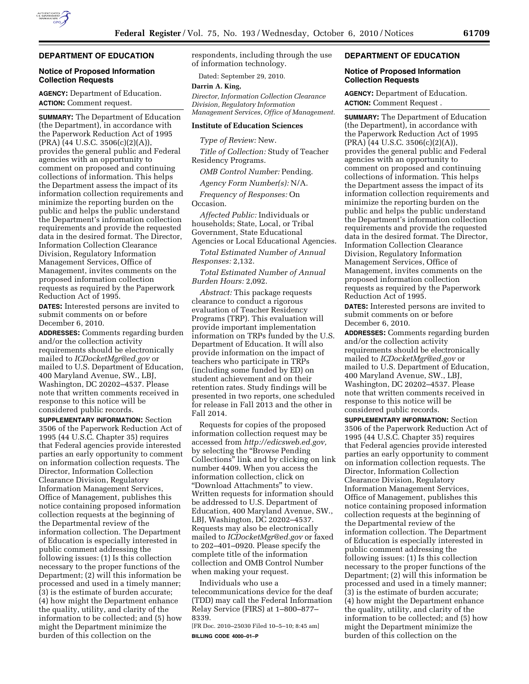

# **DEPARTMENT OF EDUCATION**

# **Notice of Proposed Information Collection Requests**

**AGENCY:** Department of Education. **ACTION:** Comment request.

**SUMMARY:** The Department of Education (the Department), in accordance with the Paperwork Reduction Act of 1995 (PRA) (44 U.S.C. 3506(c)(2)(A)), provides the general public and Federal agencies with an opportunity to comment on proposed and continuing collections of information. This helps the Department assess the impact of its information collection requirements and minimize the reporting burden on the public and helps the public understand the Department's information collection requirements and provide the requested data in the desired format. The Director, Information Collection Clearance Division, Regulatory Information Management Services, Office of Management, invites comments on the proposed information collection requests as required by the Paperwork Reduction Act of 1995.

**DATES:** Interested persons are invited to submit comments on or before December 6, 2010.

**ADDRESSES:** Comments regarding burden and/or the collection activity requirements should be electronically mailed to *[ICDocketMgr@ed.gov](mailto:ICDocketMgr@ed.gov)* or mailed to U.S. Department of Education, 400 Maryland Avenue, SW., LBJ, Washington, DC 20202–4537. Please note that written comments received in response to this notice will be considered public records.

**SUPPLEMENTARY INFORMATION:** Section 3506 of the Paperwork Reduction Act of 1995 (44 U.S.C. Chapter 35) requires that Federal agencies provide interested parties an early opportunity to comment on information collection requests. The Director, Information Collection Clearance Division, Regulatory Information Management Services, Office of Management, publishes this notice containing proposed information collection requests at the beginning of the Departmental review of the information collection. The Department of Education is especially interested in public comment addressing the following issues: (1) Is this collection necessary to the proper functions of the Department; (2) will this information be processed and used in a timely manner; (3) is the estimate of burden accurate; (4) how might the Department enhance the quality, utility, and clarity of the information to be collected; and (5) how might the Department minimize the burden of this collection on the

respondents, including through the use of information technology.

Dated: September 29, 2010.

#### **Darrin A. King,**

*Director, Information Collection Clearance Division, Regulatory Information Management Services, Office of Management.* 

#### **Institute of Education Sciences**

*Type of Review:* New.

*Title of Collection:* Study of Teacher Residency Programs.

*OMB Control Number:* Pending.

*Agency Form Number(s):* N/A.

*Frequency of Responses:* On Occasion.

*Affected Public:* Individuals or households; State, Local, or Tribal Government, State Educational Agencies or Local Educational Agencies.

*Total Estimated Number of Annual Responses:* 2,132.

*Total Estimated Number of Annual Burden Hours:* 2,092.

*Abstract:* This package requests clearance to conduct a rigorous evaluation of Teacher Residency Programs (TRP). This evaluation will provide important implementation information on TRPs funded by the U.S. Department of Education. It will also provide information on the impact of teachers who participate in TRPs (including some funded by ED) on student achievement and on their retention rates. Study findings will be presented in two reports, one scheduled for release in Fall 2013 and the other in Fall 2014.

Requests for copies of the proposed information collection request may be accessed from *[http://edicsweb.ed.gov,](http://edicsweb.ed.gov)*  by selecting the ''Browse Pending Collections'' link and by clicking on link number 4409. When you access the information collection, click on ''Download Attachments'' to view. Written requests for information should be addressed to U.S. Department of Education, 400 Maryland Avenue, SW., LBJ, Washington, DC 20202–4537. Requests may also be electronically mailed to *[ICDocketMgr@ed.gov](mailto:ICDocketMgr@ed.gov)* or faxed to 202–401–0920. Please specify the complete title of the information collection and OMB Control Number when making your request.

Individuals who use a telecommunications device for the deaf (TDD) may call the Federal Information Relay Service (FIRS) at 1–800–877– 8339.

[FR Doc. 2010–25030 Filed 10–5–10; 8:45 am] **BILLING CODE 4000–01–P** 

#### **DEPARTMENT OF EDUCATION**

# **Notice of Proposed Information Collection Requests**

**AGENCY:** Department of Education. **ACTION:** Comment Request .

**SUMMARY:** The Department of Education (the Department), in accordance with the Paperwork Reduction Act of 1995 (PRA) (44 U.S.C. 3506(c)(2)(A)), provides the general public and Federal agencies with an opportunity to comment on proposed and continuing collections of information. This helps the Department assess the impact of its information collection requirements and minimize the reporting burden on the public and helps the public understand the Department's information collection requirements and provide the requested data in the desired format. The Director, Information Collection Clearance Division, Regulatory Information Management Services, Office of Management, invites comments on the proposed information collection requests as required by the Paperwork Reduction Act of 1995.

**DATES:** Interested persons are invited to submit comments on or before December 6, 2010.

**ADDRESSES:** Comments regarding burden and/or the collection activity requirements should be electronically mailed to *[ICDocketMgr@ed.gov](mailto:ICDocketMgr@ed.gov)* or mailed to U.S. Department of Education, 400 Maryland Avenue, SW., LBJ, Washington, DC 20202–4537. Please note that written comments received in response to this notice will be considered public records.

**SUPPLEMENTARY INFORMATION:** Section 3506 of the Paperwork Reduction Act of 1995 (44 U.S.C. Chapter 35) requires that Federal agencies provide interested parties an early opportunity to comment on information collection requests. The Director, Information Collection Clearance Division, Regulatory Information Management Services, Office of Management, publishes this notice containing proposed information collection requests at the beginning of the Departmental review of the information collection. The Department of Education is especially interested in public comment addressing the following issues: (1) Is this collection necessary to the proper functions of the Department; (2) will this information be processed and used in a timely manner; (3) is the estimate of burden accurate; (4) how might the Department enhance the quality, utility, and clarity of the information to be collected; and (5) how might the Department minimize the burden of this collection on the